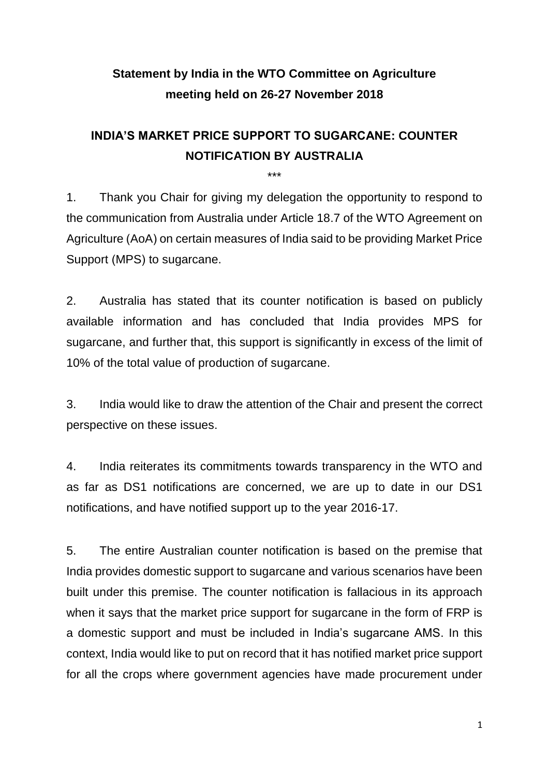## **Statement by India in the WTO Committee on Agriculture meeting held on 26-27 November 2018**

## **INDIA'S MARKET PRICE SUPPORT TO SUGARCANE: COUNTER NOTIFICATION BY AUSTRALIA**

\*\*\*

1. Thank you Chair for giving my delegation the opportunity to respond to the communication from Australia under Article 18.7 of the WTO Agreement on Agriculture (AoA) on certain measures of India said to be providing Market Price Support (MPS) to sugarcane.

2. Australia has stated that its counter notification is based on publicly available information and has concluded that India provides MPS for sugarcane, and further that, this support is significantly in excess of the limit of 10% of the total value of production of sugarcane.

3. India would like to draw the attention of the Chair and present the correct perspective on these issues.

4. India reiterates its commitments towards transparency in the WTO and as far as DS1 notifications are concerned, we are up to date in our DS1 notifications, and have notified support up to the year 2016-17.

5. The entire Australian counter notification is based on the premise that India provides domestic support to sugarcane and various scenarios have been built under this premise. The counter notification is fallacious in its approach when it says that the market price support for sugarcane in the form of FRP is a domestic support and must be included in India's sugarcane AMS. In this context, India would like to put on record that it has notified market price support for all the crops where government agencies have made procurement under